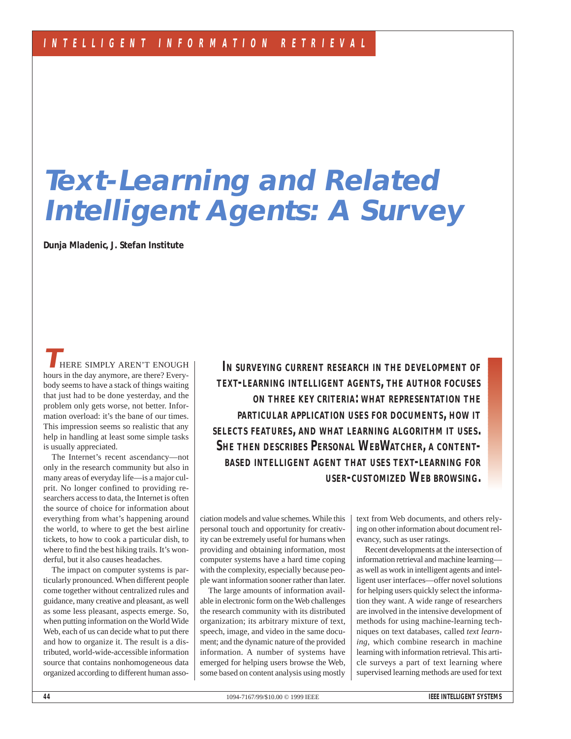# **Text-Learning and Related Intelligent Agents: A Survey**

**Dunja Mladenic, J. Stefan Institute**

**THERE SIMPLY AREN'T ENOUGH** hours in the day anymore, are there? Everybody seems to have a stack of things waiting that just had to be done yesterday, and the problem only gets worse, not better. Information overload: it's the bane of our times. This impression seems so realistic that any help in handling at least some simple tasks is usually appreciated.

The Internet's recent ascendancy—not only in the research community but also in many areas of everyday life—is a major culprit. No longer confined to providing researchers access to data, the Internet is often the source of choice for information about everything from what's happening around the world, to where to get the best airline tickets, to how to cook a particular dish, to where to find the best hiking trails. It's wonderful, but it also causes headaches.

The impact on computer systems is particularly pronounced. When different people come together without centralized rules and guidance, many creative and pleasant, as well as some less pleasant, aspects emerge. So, when putting information on the World Wide Web, each of us can decide what to put there and how to organize it. The result is a distributed, world-wide-accessible information source that contains nonhomogeneous data organized according to different human asso-

*IN SURVEYING CURRENT RESEARCH IN THE DEVELOPMENT OF TEXT-LEARNING INTELLIGENT AGENTS, THE AUTHOR FOCUSES ON THREE KEY CRITERIA: WHAT REPRESENTATION THE PARTICULAR APPLICATION USES FOR DOCUMENTS, HOW IT SELECTS FEATURES, AND WHAT LEARNING ALGORITHM IT USES. SHE THEN DESCRIBES PERSONAL WEBWATCHER, A CONTENT-BASED INTELLIGENT AGENT THAT USES TEXT-LEARNING FOR USER-CUSTOMIZED WEB BROWSING.*

ciation models and value schemes. While this personal touch and opportunity for creativity can be extremely useful for humans when providing and obtaining information, most computer systems have a hard time coping with the complexity, especially because people want information sooner rather than later.

The large amounts of information available in electronic form on the Web challenges the research community with its distributed organization; its arbitrary mixture of text, speech, image, and video in the same document; and the dynamic nature of the provided information. A number of systems have emerged for helping users browse the Web, some based on content analysis using mostly

text from Web documents, and others relying on other information about document relevancy, such as user ratings.

Recent developments at the intersection of information retrieval and machine learning as well as work in intelligent agents and intelligent user interfaces—offer novel solutions for helping users quickly select the information they want. A wide range of researchers are involved in the intensive development of methods for using machine-learning techniques on text databases, called *text learning*, which combine research in machine learning with information retrieval. This article surveys a part of text learning where supervised learning methods are used for text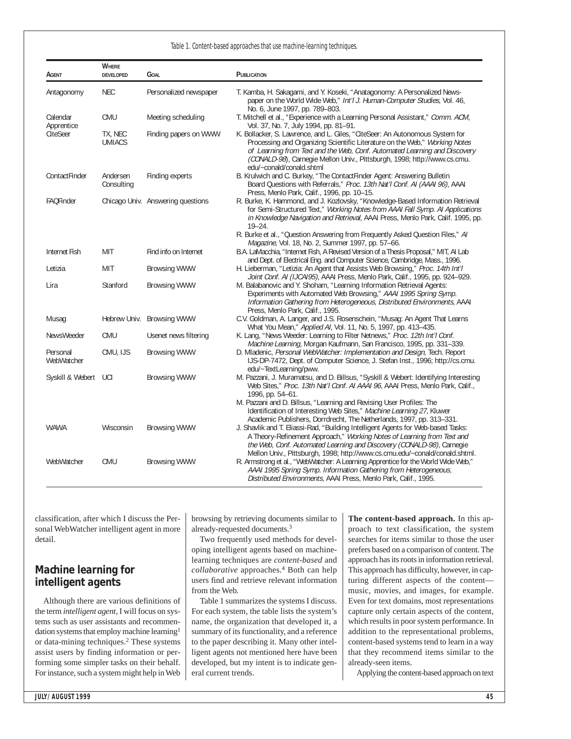|                        | <b>WHERE</b>             |                                   |                                                                                                                                                                                                                                                                                                                                                                                            |
|------------------------|--------------------------|-----------------------------------|--------------------------------------------------------------------------------------------------------------------------------------------------------------------------------------------------------------------------------------------------------------------------------------------------------------------------------------------------------------------------------------------|
| AGENT                  | <b>DEVELOPED</b>         | <b>GOAL</b>                       | PUBLICATION                                                                                                                                                                                                                                                                                                                                                                                |
| Antagonomy             | <b>NEC</b>               | Personalized newspaper            | T. Kamba, H. Sakagami, and Y. Koseki, "Anatagonomy: A Personalized News-<br>paper on the World Wide Web," Int'l J. Human-Computer Studies, Vol. 46,<br>No. 6, June 1997, pp. 789-803.                                                                                                                                                                                                      |
| Calendar<br>Apprentice | CMU                      | Meeting scheduling                | T. Mitchell et al., "Experience with a Learning Personal Assistant," Comm. ACM,<br>Vol. 37, No. 7, July 1994, pp. 81-91.                                                                                                                                                                                                                                                                   |
| CiteSeer               | TX, NEC<br><b>UMIACS</b> | Finding papers on WWW             | K. Bollacker, S. Lawrence, and L. Giles, "CiteSeer: An Autonomous System for<br>Processing and Organizing Scientific Literature on the Web," Working Notes<br>of Learning from Text and the Web, Conf. Automated Learning and Discovery<br>(CONALD-98), Carnegie Mellon Univ., Pittsburgh, 1998; http://www.cs.cmu.<br>edu/~conald/conald.shtml                                            |
| ContactFinder          | Andersen<br>Consulting   | Finding experts                   | B. Krulwich and C. Burkey, "The ContactFinder Agent: Answering Bulletin<br>Board Questions with Referrals," Proc. 13th Nat'l Conf. AI (AAAI 96), AAAI<br>Press, Menlo Park, Calif., 1996, pp. 10-15.                                                                                                                                                                                       |
| FAQFinder              |                          | Chicago Univ. Answering questions | R. Burke, K. Hammond, and J. Kozlovsky, "Knowledge-Based Information Retrieval<br>for Semi-Structured Text," Working Notes from AAAI Fall Symp. AI Applications<br>in Knowledge Navigation and Retrieval, AAAI Press, Menlo Park, Calif. 1995, pp.<br>$19 - 24.$                                                                                                                           |
|                        |                          |                                   | R. Burke et al., "Question Answering from Frequently Asked Question Files," AI<br><i>Magazine, Vol. 18, No. 2, Summer 1997, pp. 57–66.</i>                                                                                                                                                                                                                                                 |
| Internet Fish          | <b>MIT</b>               | Find info on Internet             | B.A. LaMacchia, "Internet Fish, A Revised Version of a Thesis Proposal," MIT, AI Lab<br>and Dept. of Electrical Eng. and Computer Science, Cambridge, Mass., 1996.                                                                                                                                                                                                                         |
| Letizia                | MIT                      | <b>Browsing WWW</b>               | H. Lieberman, "Letizia: An Agent that Assists Web Browsing," Proc. 14th Int'l<br>Joint Conf. AI (IJCAI95), AAAI Press, Menlo Park, Calif., 1995, pp. 924-929.                                                                                                                                                                                                                              |
| Lira                   | Stanford                 | <b>Browsing WWW</b>               | M. Balabanovic and Y. Shoham, "Learning Information Retrieval Agents:<br>Experiments with Automated Web Browsing," AAAI 1995 Spring Symp.<br>Information Gathering from Heterogeneous, Distributed Environments, AAAI<br>Press, Menlo Park, Calif., 1995.                                                                                                                                  |
| Musag                  |                          | Hebrew Univ. Browsing WWW         | C.V. Goldman, A. Langer, and J.S. Rosenschein, "Musag: An Agent That Learns<br>What You Mean," Applied AI, Vol. 11, No. 5, 1997, pp. 413-435.                                                                                                                                                                                                                                              |
| NewsWeeder             | <b>CMU</b>               | Usenet news filtering             | K. Lang, "News Weeder: Learning to Filter Netnews," Proc. 12th Int'l Conf.<br>Machine Learning, Morgan Kaufmann, San Francisco, 1995, pp. 331-339.                                                                                                                                                                                                                                         |
| Personal<br>WebWatcher | CMU, IJS                 | <b>Browsing WWW</b>               | D. Mladenic, Personal WebWatcher: Implementation and Design, Tech. Report<br>IJS-DP-7472, Dept. of Computer Science, J. Stefan Inst., 1996; http://cs.cmu.<br>edu/~TextLearning/pww.                                                                                                                                                                                                       |
| Syskill & Webert UCI   |                          | <b>Browsing WWW</b>               | M. Pazzani, J. Muramatsu, and D. Billsus, "Syskill & Webert: Identifying Interesting<br>Web Sites," Proc. 13th Nat'l Conf. Al AAAI 96, AAAI Press, Menlo Park, Calif.,<br>1996, pp. 54-61.<br>M. Pazzani and D. Billsus, "Learning and Revising User Profiles: The<br>Identification of Interesting Web Sites," Machine Learning 27, Kluwer                                                |
| <b>WAWA</b>            | Wisconsin                | <b>Browsing WWW</b>               | Academic Publishers, Dorrdrecht, The Netherlands, 1997, pp. 313–331.<br>J. Shavlik and T. Eliassi-Rad, "Building Intelligent Agents for Web-based Tasks:<br>A Theory-Refinement Approach," Working Notes of Learning from Text and<br>the Web, Conf. Automated Learning and Discovery (CONALD-98), Carnegie<br>Mellon Univ., Pittsburgh, 1998; http://www.cs.cmu.edu/~conald/conald.shtml. |
| WebWatcher             | CMU                      | <b>Browsing WWW</b>               | R. Armstrong et al., "WebWatcher: A Learning Apprentice for the World Wide Web,"<br>AAAI 1995 Spring Symp. Information Gathering from Heterogeneous,<br>Distributed Environments, AAAI Press, Menlo Park, Calif., 1995.                                                                                                                                                                    |

classification, after which I discuss the Personal WebWatcher intelligent agent in more detail.

## **Machine learning for intelligent agents**

Although there are various definitions of the term *intelligent agent,* I will focus on systems such as user assistants and recommendation systems that employ machine learning1 or data-mining techniques.2 These systems assist users by finding information or performing some simpler tasks on their behalf. For instance, such a system might help in Web browsing by retrieving documents similar to already-requested documents.3

Two frequently used methods for developing intelligent agents based on machinelearning techniques are *content-based* and *collaborative* approaches.4 Both can help users find and retrieve relevant information from the Web.

Table 1 summarizes the systems I discuss. For each system, the table lists the system's name, the organization that developed it, a summary of its functionality, and a reference to the paper describing it. Many other intelligent agents not mentioned here have been developed, but my intent is to indicate general current trends.

**The content-based approach.** In this approach to text classification, the system searches for items similar to those the user prefers based on a comparison of content. The approach has its roots in information retrieval. This approach has difficulty, however, in capturing different aspects of the content music, movies, and images, for example. Even for text domains, most representations capture only certain aspects of the content, which results in poor system performance. In addition to the representational problems, content-based systems tend to learn in a way that they recommend items similar to the already-seen items.

Applying the content-based approach on text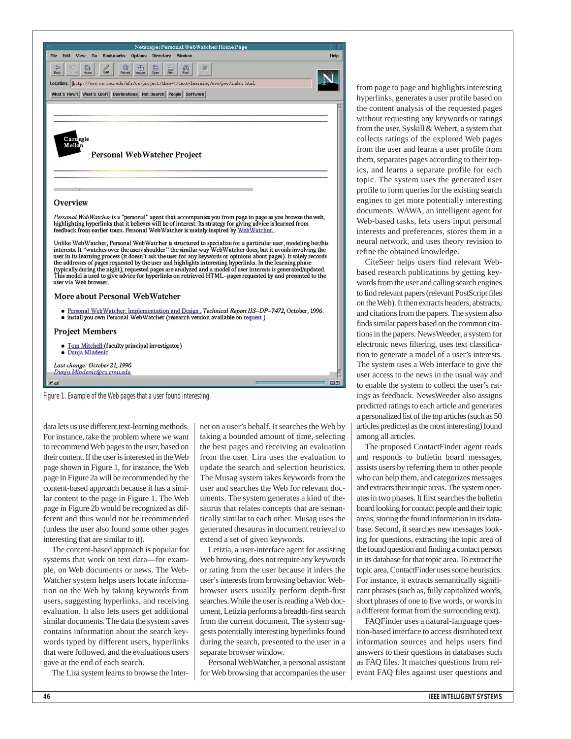

Dunja.Mladenic@cs.cmu.edu

Figure 1. Example of the Web pages that a user found interesting.

data lets us use different text-learning methods. For instance, take the problem where we want to recommend Web pages to the user, based on their content. If the user is interested in the Web page shown in Figure 1, for instance, the Web page in Figure 2a will be recommended by the content-based approach because it has a similar content to the page in Figure 1. The Web page in Figure 2b would be recognized as different and thus would not be recommended (unless the user also found some other pages interesting that are similar to it).

The content-based approach is popular for systems that work on text data—for example, on Web documents or news. The Web-Watcher system helps users locate information on the Web by taking keywords from users, suggesting hyperlinks, and receiving evaluation. It also lets users get additional similar documents. The data the system saves contains information about the search keywords typed by different users, hyperlinks that were followed, and the evaluations users gave at the end of each search.

The Lira system learns to browse the Inter-

net on a user's behalf. It searches the Web by taking a bounded amount of time, selecting the best pages and receiving an evaluation from the user. Lira uses the evaluation to update the search and selection heuristics. The Musag system takes keywords from the user and searches the Web for relevant documents. The system generates a kind of thesaurus that relates concepts that are semantically similar to each other. Musag uses the generated thesaurus in document retrieval to extend a set of given keywords.

 $\boxtimes$  ?

Letizia, a user-interface agent for assisting Web browsing, does not require any keywords or rating from the user because it infers the user's interests from browsing behavior. Webbrowser users usually perform depth-first searches. While the user is reading a Web document, Letizia performs a breadth-first search from the current document. The system suggests potentially interesting hyperlinks found during the search, presented to the user in a separate browser window.

Personal WebWatcher, a personal assistant for Web browsing that accompanies the user

from page to page and highlights interesting hyperlinks, generates a user profile based on the content analysis of the requested pages without requesting any keywords or ratings from the user. Syskill & Webert, a system that collects ratings of the explored Web pages from the user and learns a user profile from them, separates pages according to their topics, and learns a separate profile for each topic. The system uses the generated user profile to form queries for the existing search engines to get more potentially interesting documents. WAWA, an intelligent agent for Web-based tasks, lets users input personal interests and preferences, stores them in a neural network, and uses theory revision to refine the obtained knowledge.

CiteSeer helps users find relevant Webbased research publications by getting keywords from the user and calling search engines to find relevant papers (relevant PostScript files on the Web). It then extracts headers, abstracts, and citations from the papers. The system also finds similar papers based on the common citations in the papers. NewsWeeder, a system for electronic news filtering, uses text classification to generate a model of a user's interests. The system uses a Web interface to give the user access to the news in the usual way and to enable the system to collect the user's ratings as feedback. NewsWeeder also assigns predicted ratings to each article and generates a personalized list of the top articles (such as 50 articles predicted as the most interesting) found among all articles.

The proposed ContactFinder agent reads and responds to bulletin board messages, assists users by referring them to other people who can help them, and categorizes messages and extracts their topic areas. The system operates in two phases. It first searches the bulletin board looking for contact people and their topic areas, storing the found information in its database. Second, it searches new messages looking for questions, extracting the topic area of the found question and finding a contact person in its database for that topic area. To extract the topic area,ContactFinder uses some heuristics. For instance, it extracts semantically significant phrases (such as, fully capitalized words, short phrases of one to five words, or words in a different format from the surrounding text).

FAQFinder uses a natural-language question-based interface to access distributed text information sources and helps users find answers to their questions in databases such as FAQ files. It matches questions from relevant FAQ files against user questions and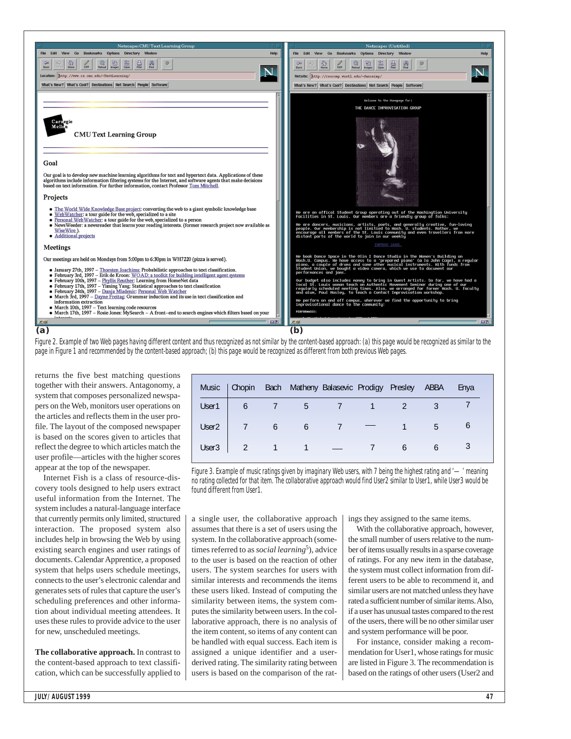

Figure 2. Example of two Web pages having different content and thus recognized as not similar by the content-based approach: (a) this page would be recognized as similar to the page in Figure 1 and recommended by the content-based approach; (b) this page would be recognized as different from both previous Web pages.

returns the five best matching questions together with their answers. Antagonomy, a system that composes personalized newspapers on the Web, monitors user operations on the articles and reflects them in the user profile. The layout of the composed newspaper is based on the scores given to articles that reflect the degree to which articles match the user profile—articles with the higher scores appear at the top of the newspaper.

Internet Fish is a class of resource-discovery tools designed to help users extract useful information from the Internet. The system includes a natural-language interface that currently permits only limited, structured interaction. The proposed system also includes help in browsing the Web by using existing search engines and user ratings of documents. Calendar Apprentice, a proposed system that helps users schedule meetings, connects to the user's electronic calendar and generates sets of rules that capture the user's scheduling preferences and other information about individual meeting attendees. It uses these rules to provide advice to the user for new, unscheduled meetings.

**The collaborative approach.** In contrast to the content-based approach to text classification, which can be successfully applied to

| <b>Music</b>      | Chopin                   |                 |                                                                | Bach Matheny Balasevic Prodigy Presley ABBA |   |     | Enya |
|-------------------|--------------------------|-----------------|----------------------------------------------------------------|---------------------------------------------|---|-----|------|
| User1             | 6                        | $\sim$ 7        |                                                                | 5 7 1                                       |   |     |      |
| User <sub>2</sub> | $\overline{\phantom{a}}$ | $6\overline{6}$ | 6 <sup>7</sup>                                                 |                                             |   | 5   |      |
| User <sub>3</sub> |                          |                 | $\begin{array}{ccccccccccccc}\n & 2 & 1 & 1 & - \n\end{array}$ |                                             | 6 | 6 — |      |

Figure 3. Example of music ratings given by imaginary Web users, with 7 being the highest rating and '—' meaning no rating collected for that item. The collaborative approach would find User2 similar to User1, while User3 would be found different from User1.

a single user, the collaborative approach assumes that there is a set of users using the system. In the collaborative approach (sometimes referred to as *social learning*<sup>5</sup>), advice to the user is based on the reaction of other users. The system searches for users with similar interests and recommends the items these users liked. Instead of computing the similarity between items, the system computes the similarity between users. In the collaborative approach, there is no analysis of the item content, so items of any content can be handled with equal success. Each item is assigned a unique identifier and a userderived rating. The similarity rating between users is based on the comparison of the ratings they assigned to the same items.

With the collaborative approach, however, the small number of users relative to the number of items usually results in a sparse coverage of ratings. For any new item in the database, the system must collect information from different users to be able to recommend it, and similar users are not matched unless they have rated a sufficient number of similar items. Also, if a user has unusual tastes compared to the rest of the users, there will be no other similar user and system performance will be poor.

For instance, consider making a recommendation for User1, whose ratings for music are listed in Figure 3. The recommendation is based on the ratings of other users (User2 and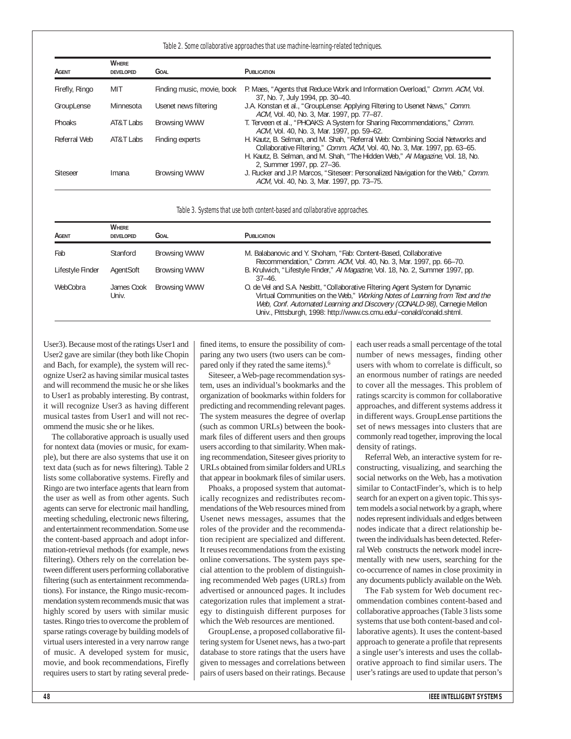#### Table 2. Some collaborative approaches that use machine-learning-related techniques.

| AGENT           | <b>WHERE</b><br><b>DEVELOPED</b> | <b>GOAL</b>                | PUBLICATION                                                                                                                                                                                                                                                                 |
|-----------------|----------------------------------|----------------------------|-----------------------------------------------------------------------------------------------------------------------------------------------------------------------------------------------------------------------------------------------------------------------------|
| Firefly, Ringo  | MIT                              | Finding music, movie, book | P. Maes, "Agents that Reduce Work and Information Overload," Comm. ACM, Vol.<br>37, No. 7, July 1994, pp. 30-40.                                                                                                                                                            |
| GroupLense      | Minnesota                        | Usenet news filtering      | J.A. Konstan et al., "GroupLense: Applying Filtering to Usenet News," Comm.<br>ACM, Vol. 40, No. 3, Mar. 1997, pp. 77–87.                                                                                                                                                   |
| Phoaks          | AT&T Labs                        | <b>Browsing WWW</b>        | T. Terveen et al., "PHOAKS: A System for Sharing Recommendations," Comm.<br>ACM, Vol. 40, No. 3, Mar. 1997, pp. 59–62.                                                                                                                                                      |
| Referral Web    | AT&T Labs                        | Finding experts            | H. Kautz, B. Selman, and M. Shah, "Referral Web: Combining Social Networks and<br>Collaborative Filtering," Comm. ACM, Vol. 40, No. 3, Mar. 1997, pp. 63–65.<br>H. Kautz, B. Selman, and M. Shah, "The Hidden Web," Al Magazine, Vol. 18, No.<br>2, Summer 1997, pp. 27-36. |
| <b>Siteseer</b> | Imana                            | <b>Browsing WWW</b>        | J. Rucker and J.P. Marcos, "Siteseer: Personalized Navigation for the Web," Comm.<br>ACM, Vol. 40, No. 3, Mar. 1997, pp. 73-75.                                                                                                                                             |

#### Table 3. Systems that use both content-based and collaborative approaches.

| AGENT            | <b>WHERE</b><br><b>DEVELOPED</b> | GOAL                | <b>PUBLICATION</b>                                                                                                                                                                                                                                                                                                |
|------------------|----------------------------------|---------------------|-------------------------------------------------------------------------------------------------------------------------------------------------------------------------------------------------------------------------------------------------------------------------------------------------------------------|
| Fab              | Stanford                         | <b>Browsing WWW</b> | M. Balabanovic and Y. Shoham, "Fab: Content-Based, Collaborative<br>Recommendation," Comm. ACM, Vol. 40, No. 3, Mar. 1997, pp. 66–70.                                                                                                                                                                             |
| Lifestyle Finder | AgentSoft                        | <b>Browsing WWW</b> | B. Krulwich, "Lifestyle Finder," Al Magazine, Vol. 18, No. 2, Summer 1997, pp.<br>$37 - 46$ .                                                                                                                                                                                                                     |
| WebCobra         | James Cook<br>Univ.              | <b>Browsing WWW</b> | O. de Vel and S.A. Nesbitt, "Collaborative Filtering Agent System for Dynamic<br>Virtual Communities on the Web," Working Notes of Learning from Text and the<br>Web, Conf. Automated Learning and Discovery (CONALD-98), Carnegie Mellon<br>Univ., Pittsburgh, 1998: http://www.cs.cmu.edu/~conald/conald.shtml. |

User3). Because most of the ratings User1 and User2 gave are similar (they both like Chopin and Bach, for example), the system will recognize User2 as having similar musical tastes and will recommend the music he or she likes to User1 as probably interesting. By contrast, it will recognize User3 as having different musical tastes from User1 and will not recommend the music she or he likes.

The collaborative approach is usually used for nontext data (movies or music, for example), but there are also systems that use it on text data (such as for news filtering). Table 2 lists some collaborative systems. Firefly and Ringo are two interface agents that learn from the user as well as from other agents. Such agents can serve for electronic mail handling, meeting scheduling, electronic news filtering, and entertainment recommendation. Some use the content-based approach and adopt information-retrieval methods (for example, news filtering). Others rely on the correlation between different users performing collaborative filtering (such as entertainment recommendations). For instance, the Ringo music-recommendation system recommends music that was highly scored by users with similar music tastes. Ringo tries to overcome the problem of sparse ratings coverage by building models of virtual users interested in a very narrow range of music. A developed system for music, movie, and book recommendations, Firefly requires users to start by rating several predefined items, to ensure the possibility of comparing any two users (two users can be compared only if they rated the same items).6

Siteseer, a Web-page recommendation system, uses an individual's bookmarks and the organization of bookmarks within folders for predicting and recommending relevant pages. The system measures the degree of overlap (such as common URLs) between the bookmark files of different users and then groups users according to that similarity. When making recommendation, Siteseer gives priority to URLs obtained from similar folders and URLs that appear in bookmark files of similar users.

Phoaks, a proposed system that automatically recognizes and redistributes recommendations of the Web resources mined from Usenet news messages, assumes that the roles of the provider and the recommendation recipient are specialized and different. It reuses recommendations from the existing online conversations. The system pays special attention to the problem of distinguishing recommended Web pages (URLs) from advertised or announced pages. It includes categorization rules that implement a strategy to distinguish different purposes for which the Web resources are mentioned.

GroupLense, a proposed collaborative filtering system for Usenet news, has a two-part database to store ratings that the users have given to messages and correlations between pairs of users based on their ratings. Because each user reads a small percentage of the total number of news messages, finding other users with whom to correlate is difficult, so an enormous number of ratings are needed to cover all the messages. This problem of ratings scarcity is common for collaborative approaches, and different systems address it in different ways. GroupLense partitions the set of news messages into clusters that are commonly read together, improving the local density of ratings.

Referral Web, an interactive system for reconstructing, visualizing, and searching the social networks on the Web, has a motivation similar to ContactFinder's, which is to help search for an expert on a given topic. This system models a social network by a graph, where nodes represent individuals and edges between nodes indicate that a direct relationship between the individuals has been detected. Referral Web constructs the network model incrementally with new users, searching for the co-occurrence of names in close proximity in any documents publicly available on the Web.

The Fab system for Web document recommendation combines content-based and collaborative approaches (Table 3 lists some systems that use both content-based and collaborative agents). It uses the content-based approach to generate a profile that represents a single user's interests and uses the collaborative approach to find similar users. The user's ratings are used to update that person's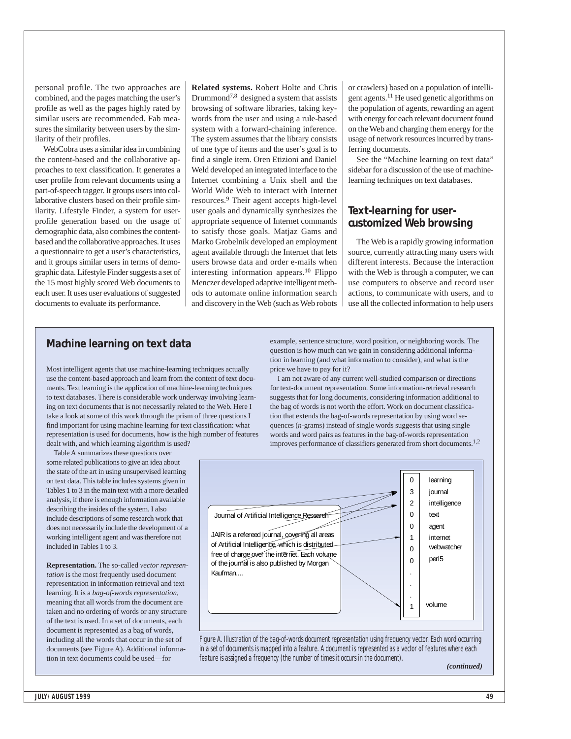personal profile. The two approaches are combined, and the pages matching the user's profile as well as the pages highly rated by similar users are recommended. Fab measures the similarity between users by the similarity of their profiles.

WebCobra uses a similar idea in combining the content-based and the collaborative approaches to text classification. It generates a user profile from relevant documents using a part-of-speech tagger. It groups users into collaborative clusters based on their profile similarity. Lifestyle Finder, a system for userprofile generation based on the usage of demographic data, also combines the contentbased and the collaborative approaches. It uses a questionnaire to get a user's characteristics, and it groups similar users in terms of demographic data. Lifestyle Finder suggests a set of the 15 most highly scored Web documents to each user. It uses user evaluations of suggested documents to evaluate its performance.

**Related systems.** Robert Holte and Chris Drummond7,8 designed a system that assists browsing of software libraries, taking keywords from the user and using a rule-based system with a forward-chaining inference. The system assumes that the library consists of one type of items and the user's goal is to find a single item. Oren Etizioni and Daniel Weld developed an integrated interface to the Internet combining a Unix shell and the World Wide Web to interact with Internet resources.9 Their agent accepts high-level user goals and dynamically synthesizes the appropriate sequence of Internet commands to satisfy those goals. Matjaz Gams and Marko Grobelnik developed an employment agent available through the Internet that lets users browse data and order e-mails when interesting information appears.10 Flippo Menczer developed adaptive intelligent methods to automate online information search and discovery in the Web (such as Web robots or crawlers) based on a population of intelligent agents.11 He used genetic algorithms on the population of agents, rewarding an agent with energy for each relevant document found on the Web and charging them energy for the usage of network resources incurred by transferring documents.

See the "Machine learning on text data" sidebar for a discussion of the use of machinelearning techniques on text databases.

#### **Text-learning for usercustomized Web browsing**

The Web is a rapidly growing information source, currently attracting many users with different interests. Because the interaction with the Web is through a computer, we can use computers to observe and record user actions, to communicate with users, and to use all the collected information to help users

#### **Machine learning on text data**

Most intelligent agents that use machine-learning techniques actually use the content-based approach and learn from the content of text documents. Text learning is the application of machine-learning techniques to text databases. There is considerable work underway involving learning on text documents that is not necessarily related to the Web. Here I take a look at some of this work through the prism of three questions I find important for using machine learning for text classification: what representation is used for documents, how is the high number of features dealt with, and which learning algorithm is used?

Table A summarizes these questions over some related publications to give an idea about the state of the art in using unsupervised learning on text data. This table includes systems given in Tables 1 to 3 in the main text with a more detailed analysis, if there is enough information available describing the insides of the system. I also include descriptions of some research work that does not necessarily include the development of a working intelligent agent and was therefore not included in Tables 1 to 3.

**Representation.** The so-called *vector representation* is the most frequently used document representation in information retrieval and text learning. It is a *bag-of-words representation*, meaning that all words from the document are taken and no ordering of words or any structure of the text is used. In a set of documents, each document is represented as a bag of words, including all the words that occur in the set of documents (see Figure A). Additional information in text documents could be used—for

example, sentence structure, word position, or neighboring words. The question is how much can we gain in considering additional information in learning (and what information to consider), and what is the price we have to pay for it?

I am not aware of any current well-studied comparison or directions for text-document representation. Some information-retrieval research suggests that for long documents, considering information additional to the bag of words is not worth the effort. Work on document classification that extends the bag-of-words representation by using word sequences (*n*-grams) instead of single words suggests that using single words and word pairs as features in the bag-of-words representation improves performance of classifiers generated from short documents.<sup>1,2</sup>



Figure A. Illustration of the bag-of-words document representation using frequency vector. Each word occurring in a set of documents is mapped into a feature. A document is represented as a vector of features where each feature is assigned a frequency (the number of times it occurs in the document).

*(continued)*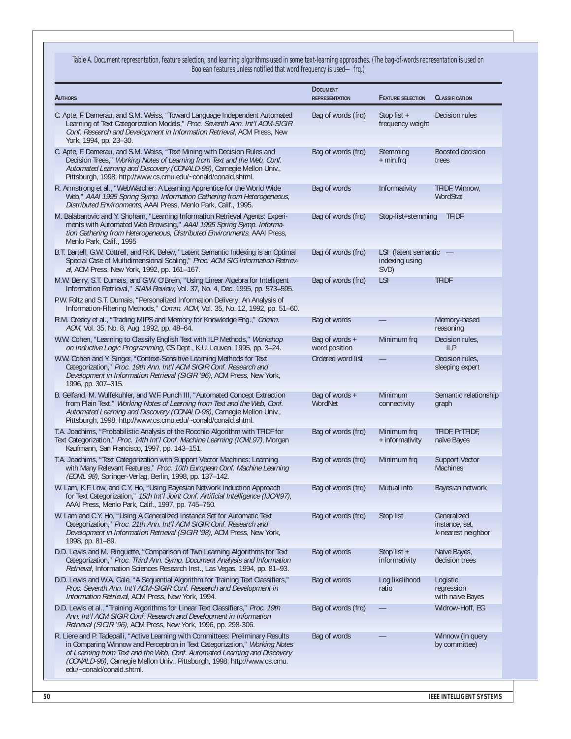Table A. Document representation, feature selection, and learning algorithms used in some text-learning approaches. (The bag-of-words representation is used on Boolean features unless notified that word frequency is used—frq.)

| <b>AUTHORS</b>                                                                                                                                                                                                                                                                                                                                      | <b>DOCUMENT</b><br><b>REPRESENTATION</b> | <b>FEATURE SELECTION</b>                       | <b>CLASSIFICATION</b>                               |
|-----------------------------------------------------------------------------------------------------------------------------------------------------------------------------------------------------------------------------------------------------------------------------------------------------------------------------------------------------|------------------------------------------|------------------------------------------------|-----------------------------------------------------|
| C. Apte, F. Damerau, and S.M. Weiss, "Toward Language Independent Automated<br>Learning of Text Categorization Models," Proc. Seventh Ann. Int'l ACM-SIGIR<br>Conf. Research and Development in Information Retrieval, ACM Press, New<br>York, 1994, pp. 23-30.                                                                                     | Bag of words (frg)                       | Stop list $+$<br>frequency weight              | Decision rules                                      |
| C. Apte, F. Damerau, and S.M. Weiss, "Text Mining with Decision Rules and<br>Decision Trees," Working Notes of Learning from Text and the Web, Conf.<br>Automated Learning and Discovery (CONALD-98), Carnegie Mellon Univ.,<br>Pittsburgh, 1998; http://www.cs.cmu.edu/~conald/conald.shtml.                                                       | Bag of words (frq)                       | Stemming<br>$+$ min.frq                        | <b>Boosted decision</b><br>trees                    |
| R. Armstrong et al., "WebWatcher: A Learning Apprentice for the World Wide<br>Web," AAAI 1995 Spring Symp. Information Gathering from Heterogeneous,<br>Distributed Environments, AAAI Press, Menlo Park, Calif., 1995.                                                                                                                             | Bag of words                             | Informativity                                  | TFIDF, Winnow,<br>WordStat                          |
| M. Balabanovic and Y. Shoham, "Learning Information Retrieval Agents: Experi-<br>ments with Automated Web Browsing," AAAI 1995 Spring Symp. Informa-<br>tion Gathering from Heterogeneous, Distributed Environments, AAAI Press,<br>Menlo Park, Calif., 1995                                                                                        | Bag of words (frg)                       | Stop-list+stemming                             | <b>TFIDF</b>                                        |
| B.T. Bartell, G.W. Cottrell, and R.K. Belew, "Latent Semantic Indexing is an Optimal<br>Special Case of Multidimensional Scaling," Proc. ACM SIG Information Retriev-<br>al, ACM Press, New York, 1992, pp. 161-167.                                                                                                                                | Bag of words (frq)                       | LSI (latent semantic<br>indexing using<br>SVD) |                                                     |
| M.W. Berry, S.T. Dumais, and G.W. O'Brein, "Using Linear Algebra for Intelligent<br>Information Retrieval," SIAM Review, Vol. 37, No. 4, Dec. 1995, pp. 573-595.                                                                                                                                                                                    | Bag of words (frg)                       | <b>LSI</b>                                     | <b>TFIDF</b>                                        |
| P.W. Foltz and S.T. Dumais, "Personalized Information Delivery: An Analysis of<br>Information-Filtering Methods," Comm. ACM, Vol. 35, No. 12, 1992, pp. 51-60.                                                                                                                                                                                      |                                          |                                                |                                                     |
| R.M. Creecy et al., "Trading MIPS and Memory for Knowledge Eng.," Comm.<br>ACM, Vol. 35, No. 8, Aug. 1992, pp. 48-64.                                                                                                                                                                                                                               | Bag of words                             |                                                | Memory-based<br>reasoning                           |
| W.W. Cohen, "Learning to Classify English Text with ILP Methods," Workshop<br>on Inductive Logic Programming, CS Dept., K.U. Leuven, 1995, pp. 3-24.                                                                                                                                                                                                | Bag of words +<br>word position          | Minimum frg                                    | Decision rules,<br><b>ILP</b>                       |
| W.W. Cohen and Y. Singer, "Context-Sensitive Learning Methods for Text<br>Categorization," Proc. 19th Ann. Int'l ACM SIGIR Conf. Research and<br>Development in Information Retrieval (SIGIR '96), ACM Press, New York,<br>1996, pp. 307-315.                                                                                                       | Ordered word list                        |                                                | Decision rules,<br>sleeping expert                  |
| B. Gelfand, M. Wulfekuhler, and W.F. Punch III, "Automated Concept Extraction<br>from Plain Text," Working Notes of Learning from Text and the Web, Conf.<br>Automated Learning and Discovery (CONALD-98), Carnegie Mellon Univ.,<br>Pittsburgh, 1998; http://www.cs.cmu.edu/~conald/conald.shtml.                                                  | Bag of words +<br>WordNet                | Minimum<br>connectivity                        | Semantic relationship<br>graph                      |
| T.A. Joachims, "Probabilistic Analysis of the Rocchio Algorithm with TFIDF for<br>Text Categorization," Proc. 14th Int'l Conf. Machine Learning (ICML97), Morgan<br>Kaufmann, San Francisco, 1997, pp. 143-151.                                                                                                                                     | Bag of words (frg)                       | Minimum frg<br>+ informativity                 | TFIDF, PrTFIDF,<br>naïve Bayes                      |
| T.A. Joachims, "Text Categorization with Support Vector Machines: Learning<br>with Many Relevant Features," Proc. 10th European Conf. Machine Learning<br>(ECML 98), Springer-Verlag, Berlin, 1998, pp. 137-142.                                                                                                                                    | Bag of words (frg)                       | Minimum frg                                    | <b>Support Vector</b><br><b>Machines</b>            |
| W. Lam, K.F. Low, and C.Y. Ho, "Using Bayesian Network Induction Approach<br>for Text Categorization," 15th Int'l Joint Conf. Artificial Intelligence (IJCAI97),<br>AAAI Press, Menlo Park, Calif., 1997, pp. 745-750.                                                                                                                              | Bag of words (frg)                       | Mutual info                                    | Bayesian network                                    |
| W. Lam and C.Y. Ho, "Using A Generalized Instance Set for Automatic Text<br>Categorization," Proc. 21th Ann. Int'l ACM SIGIR Conf. Research and<br>Development in Information Retrieval (SIGIR '98), ACM Press, New York,<br>1998, pp. 81-89.                                                                                                       | Bag of words (frq)                       | Stop list                                      | Generalized<br>instance, set,<br>k-nearest neighbor |
| D.D. Lewis and M. Ringuette, "Comparison of Two Learning Algorithms for Text<br>Categorization," Proc. Third Ann. Symp. Document Analysis and Information<br>Retrieval, Information Sciences Research Inst., Las Vegas, 1994, pp. 81-93.                                                                                                            | Bag of words                             | Stop list $+$<br>informativity                 | Naive Bayes,<br>decision trees                      |
| D.D. Lewis and W.A. Gale, "A Sequential Algorithm for Training Text Classifiers,"<br>Proc. Seventh Ann. Int'l ACM-SIGIR Conf. Research and Development in<br>Information Retrieval, ACM Press, New York, 1994.                                                                                                                                      | Bag of words                             | Log likelihood<br>ratio                        | Logistic<br>regression<br>with naive Bayes          |
| D.D. Lewis et al., "Training Algorithms for Linear Text Classifiers," Proc. 19th<br>Ann. Int'l ACM SIGIR Conf. Research and Development in Information<br>Retrieval (SIGIR '96), ACM Press, New York, 1996, pp. 298-306.                                                                                                                            | Bag of words (frg)                       |                                                | Widrow-Hoff, EG                                     |
| R. Liere and P. Tadepalli, "Active Learning with Committees: Preliminary Results<br>in Comparing Winnow and Perceptron in Text Categorization," Working Notes<br>of Learning from Text and the Web, Conf. Automated Learning and Discovery<br>(CONALD-98), Carnegie Mellon Univ., Pittsburgh, 1998; http://www.cs.cmu.<br>edu/~conald/conald.shtml. | Bag of words                             |                                                | Winnow (in query<br>by committee)                   |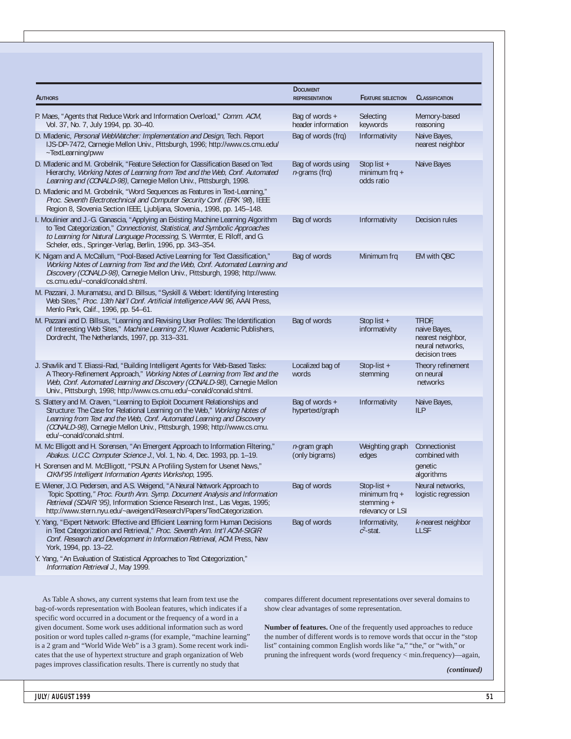| <b>AUTHORS</b>                                                                                                                                                                                                                                                                                                                             | <b>DOCUMENT</b><br><b>REPRESENTATION</b> | <b>FEATURE SELECTION</b>                                         | <b>CLASSIFICATION</b>                                                             |
|--------------------------------------------------------------------------------------------------------------------------------------------------------------------------------------------------------------------------------------------------------------------------------------------------------------------------------------------|------------------------------------------|------------------------------------------------------------------|-----------------------------------------------------------------------------------|
| P. Maes, "Agents that Reduce Work and Information Overload," Comm. ACM,<br>Vol. 37, No. 7, July 1994, pp. 30-40.                                                                                                                                                                                                                           | Bag of words +<br>header information     | Selecting<br>keywords                                            | Memory-based<br>reasoning                                                         |
| D. Mladenic, Personal WebWatcher: Implementation and Design, Tech. Report<br>IJS-DP-7472, Carnegie Mellon Univ., Pittsburgh, 1996; http://www.cs.cmu.edu/<br>~TextLearning/pww                                                                                                                                                             | Bag of words (frg)                       | Informativity                                                    | Naive Bayes,<br>nearest neighbor                                                  |
| D. Mladenic and M. Grobelnik, "Feature Selection for Classification Based on Text<br>Hierarchy, Working Notes of Learning from Text and the Web, Conf. Automated<br>Learning and (CONALD-98), Carnegie Mellon Univ., Pittsburgh, 1998.                                                                                                     | Bag of words using<br>$n$ -grams (frq)   | Stop list $+$<br>minimum frq $+$<br>odds ratio                   | Naive Bayes                                                                       |
| D. Mladenic and M. Grobelnik, "Word Sequences as Features in Text-Learning,"<br>Proc. Seventh Electrotechnical and Computer Security Conf. (ERK '98), IEEE<br>Region 8, Slovenia Section IEEE, Ljubljana, Slovenia., 1998, pp. 145-148.                                                                                                    |                                          |                                                                  |                                                                                   |
| I. Moulinier and J.-G. Ganascia, "Applying an Existing Machine Learning Algorithm<br>to Text Categorization," Connectionist, Statistical, and Symbolic Approaches<br>to Learning for Natural Language Processing, S. Wermter, E. Riloff, and G.<br>Scheler, eds., Springer-Verlag, Berlin, 1996, pp. 343-354.                              | Bag of words                             | Informativity                                                    | Decision rules                                                                    |
| K. Nigam and A. McCallum, "Pool-Based Active Learning for Text Classification,"<br>Working Notes of Learning from Text and the Web, Conf. Automated Learning and<br>Discovery (CONALD-98), Carnegie Mellon Univ., Pittsburgh, 1998; http://www.<br>cs.cmu.edu/~conald/conald.shtml.                                                        | Bag of words                             | Minimum frg                                                      | EM with QBC                                                                       |
| M. Pazzani, J. Muramatsu, and D. Billsus, "Syskill & Webert: Identifying Interesting<br>Web Sites," Proc. 13th Nat'l Conf. Artificial Intelligence AAAI 96, AAAI Press,<br>Menlo Park, Calif., 1996, pp. 54-61.                                                                                                                            |                                          |                                                                  |                                                                                   |
| M. Pazzani and D. Billsus, "Learning and Revising User Profiles: The Identification<br>of Interesting Web Sites," Machine Learning 27, Kluwer Academic Publishers,<br>Dordrecht, The Netherlands, 1997, pp. 313-331.                                                                                                                       | Bag of words                             | Stop list $+$<br>informativity                                   | TFIDE.<br>naive Bayes,<br>nearest neighbor,<br>neural networks,<br>decision trees |
| J. Shavlik and T. Eliassi-Rad, "Building Intelligent Agents for Web-Based Tasks:<br>A Theory-Refinement Approach," Working Notes of Learning from Text and the<br>Web, Conf. Automated Learning and Discovery (CONALD-98), Carnegie Mellon<br>Univ., Pittsburgh, 1998; http://www.cs.cmu.edu/~conald/conald.shtml.                         | Localized bag of<br>words                | Stop-list $+$<br>stemming                                        | Theory refinement<br>on neural<br>networks                                        |
| S. Slattery and M. Craven, "Learning to Exploit Document Relationships and<br>Structure: The Case for Relational Learning on the Web," Working Notes of<br>Learning from Text and the Web, Conf. Automated Learning and Discovery<br>(CONALD-98), Carnegie Mellon Univ., Pittsburgh, 1998; http://www.cs.cmu.<br>edu/~conald/conald.shtml. | Bag of words +<br>hypertext/graph        | Informativity                                                    | Naive Bayes,<br><b>ILP</b>                                                        |
| M. Mc Elligott and H. Sorensen, "An Emergent Approach to Information Filtering,"<br>Abakus. U.C.C. Computer Science J., Vol. 1, No. 4, Dec. 1993, pp. 1-19.                                                                                                                                                                                | $n$ -gram graph<br>(only bigrams)        | Weighting graph<br>edges                                         | Connectionist<br>combined with                                                    |
| H. Sorensen and M. McElligott, "PSUN: A Profiling System for Usenet News,"<br>CIKM'95 Intelligent Information Agents Workshop, 1995.                                                                                                                                                                                                       |                                          |                                                                  | genetic<br>algorithms                                                             |
| E. Wiener, J.O. Pedersen, and A.S. Weigend, "A Neural Network Approach to<br>Topic Spotting," Proc. Fourth Ann. Symp. Document Analysis and Information<br>Retrieval (SDAIR '95), Information Science Research Inst., Las Vegas, 1995;<br>http://www.stern.nyu.edu/~aweigend/Research/Papers/TextCategorization.                           | Bag of words                             | Stop-list +<br>minimum frq $+$<br>stemming +<br>relevancy or LSI | Neural networks,<br>logistic regression                                           |
| Y. Yang, "Expert Network: Effective and Efficient Learning form Human Decisions<br>in Text Categorization and Retrieval," Proc. Seventh Ann. Int'l ACM-SIGIR<br>Conf. Research and Development in Information Retrieval, ACM Press, New<br>York, 1994, pp. 13-22.                                                                          | Bag of words                             | Informativity,<br>$c^2$ -stat.                                   | k-nearest neighbor<br><b>LLSF</b>                                                 |
| Y. Yang, "An Evaluation of Statistical Approaches to Text Categorization,"<br>Information Retrieval J., May 1999.                                                                                                                                                                                                                          |                                          |                                                                  |                                                                                   |

As Table A shows, any current systems that learn from text use the bag-of-words representation with Boolean features, which indicates if a specific word occurred in a document or the frequency of a word in a given document. Some work uses additional information such as word position or word tuples called *n*-grams (for example, "machine learning" is a 2 gram and "World Wide Web" is a 3 gram). Some recent work indicates that the use of hypertext structure and graph organization of Web pages improves classification results. There is currently no study that

compares different document representations over several domains to show clear advantages of some representation.

**Number of features.** One of the frequently used approaches to reduce the number of different words is to remove words that occur in the "stop list" containing common English words like "a," "the," or "with," or pruning the infrequent words (word frequency < min.frequency)—again,

*(continued)*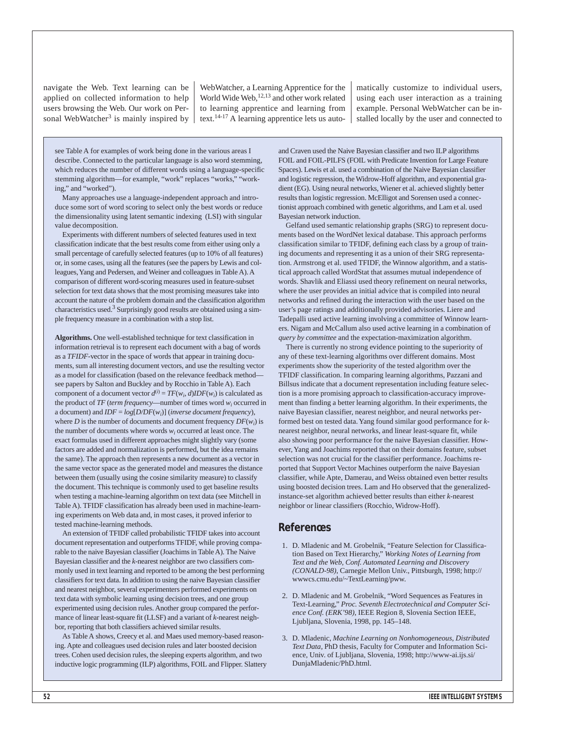navigate the Web. Text learning can be applied on collected information to help users browsing the Web. Our work on Personal WebWatcher<sup>3</sup> is mainly inspired by

WebWatcher, a Learning Apprentice for the World Wide Web, 12,13 and other work related to learning apprentice and learning from text.14-17 A learning apprentice lets us automatically customize to individual users, using each user interaction as a training example. Personal WebWatcher can be installed locally by the user and connected to

see Table A for examples of work being done in the various areas I describe. Connected to the particular language is also word stemming, which reduces the number of different words using a language-specific stemming algorithm—for example, "work" replaces "works," "working," and "worked").

Many approaches use a language-independent approach and introduce some sort of word scoring to select only the best words or reduce the dimensionality using latent semantic indexing (LSI) with singular value decomposition.

Experiments with different numbers of selected features used in text classification indicate that the best results come from either using only a small percentage of carefully selected features (up to 10% of all features) or, in some cases, using all the features (see the papers by Lewis and colleagues,Yang and Pedersen, and Weiner and colleagues in Table A). A comparison of different word-scoring measures used in feature-subset selection for text data shows that the most promising measures take into account the nature of the problem domain and the classification algorithm characteristics used. <sup>3</sup> Surprisingly good results are obtained using a simple frequency measure in a combination with a stop list.

**Algorithms.** One well-established technique for text classification in information retrieval is to represent each document with a bag of words as a *TFIDF*-vector in the space of words that appear in training documents, sum all interesting document vectors, and use the resulting vector as a model for classification (based on the relevance feedback method see papers by Salton and Buckley and by Rocchio in Table A). Each component of a document vector  $d^{(i)} = TF(w_i, d)IDF(w_i)$  is calculated as the product of *TF* (*term frequency*—number of times word *wi* occurred in a document) and *IDF* = *log*[*D/DF*(*wi* )] (*inverse document frequency*), where *D* is the number of documents and document frequency  $DF(w_i)$  is the number of documents where words  $w_i$  occurred at least once. The exact formulas used in different approaches might slightly vary (some factors are added and normalization is performed, but the idea remains the same). The approach then represents a new document as a vector in the same vector space as the generated model and measures the distance between them (usually using the cosine similarity measure) to classify the document. This technique is commonly used to get baseline results when testing a machine-learning algorithm on text data (see Mitchell in Table A). TFIDF classification has already been used in machine-learning experiments on Web data and, in most cases, it proved inferior to tested machine-learning methods.

An extension of TFIDF called probabilistic TFIDF takes into account document representation and outperforms TFIDF, while proving comparable to the naive Bayesian classifier (Joachims in Table A). The Naive Bayesian classifier and the *k*-nearest neighbor are two classifiers commonly used in text learning and reported to be among the best performing classifiers for text data. In addition to using the naive Bayesian classifier and nearest neighbor, several experimenters performed experiments on text data with symbolic learning using decision trees, and one group experimented using decision rules. Another group compared the performance of linear least-square fit (LLSF) and a variant of *k*-nearest neighbor, reporting that both classifiers achieved similar results.

As Table A shows, Creecy et al. and Maes used memory-based reasoning. Apte and colleagues used decision rules and later boosted decision trees. Cohen used decision rules, the sleeping experts algorithm, and two inductive logic programming (ILP) algorithms, FOIL and Flipper. Slattery and Craven used the Naive Bayesian classifier and two ILP algorithms FOIL and FOIL-PILFS (FOIL with Predicate Invention for Large Feature Spaces). Lewis et al. used a combination of the Naive Bayesian classifier and logistic regression, the Widrow-Hoff algorithm, and exponential gradient (EG). Using neural networks, Wiener et al. achieved slightly better results than logistic regression. McElligot and Sorensen used a connectionist approach combined with genetic algorithms, and Lam et al. used Bayesian network induction.

Gelfand used semantic relationship graphs (SRG) to represent documents based on the WordNet lexical database. This approach performs classification similar to TFIDF, defining each class by a group of training documents and representing it as a union of their SRG representation. Armstrong et al. used TFIDF, the Winnow algorithm, and a statistical approach called WordStat that assumes mutual independence of words. Shavlik and Eliassi used theory refinement on neural networks, where the user provides an initial advice that is compiled into neural networks and refined during the interaction with the user based on the user's page ratings and additionally provided advisories. Liere and Tadepalli used active learning involving a committee of Winnow learners. Nigam and McCallum also used active learning in a combination of *query by committee* and the expectation-maximization algorithm.

There is currently no strong evidence pointing to the superiority of any of these text-learning algorithms over different domains. Most experiments show the superiority of the tested algorithm over the TFIDF classification. In comparing learning algorithms, Pazzani and Billsus indicate that a document representation including feature selection is a more promising approach to classification-accuracy improvement than finding a better learning algorithm. In their experiments, the naive Bayesian classifier, nearest neighbor, and neural networks performed best on tested data. Yang found similar good performance for *k*nearest neighbor, neural networks, and linear least-square fit, while also showing poor performance for the naive Bayesian classifier. However,Yang and Joachims reported that on their domains feature, subset selection was not crucial for the classifier performance. Joachims reported that Support Vector Machines outperform the naive Bayesian classifier, while Apte, Damerau, and Weiss obtained even better results using boosted decision trees. Lam and Ho observed that the generalizedinstance-set algorithm achieved better results than either *k*-nearest neighbor or linear classifiers (Rocchio, Widrow-Hoff).

#### **References**

- 1. D. Mladenic and M. Grobelnik, "Feature Selection for Classification Based on Text Hierarchy," *Working Notes of Learning from Text and the Web, Conf. Automated Learning and Discovery (CONALD-98)*, Carnegie Mellon Univ., Pittsburgh, 1998; http:// wwwcs.cmu.edu/~TextLearning/pww.
- 2. D. Mladenic and M. Grobelnik, "Word Sequences as Features in Text-Learning," *Proc. Seventh Electrotechnical and Computer Science Conf. (ERK'98)*, IEEE Region 8, Slovenia Section IEEE, Ljubljana, Slovenia, 1998, pp. 145–148.
- 3. D. Mladenic, *Machine Learning on Nonhomogeneous, Distributed Text Data,* PhD thesis, Faculty for Computer and Information Science, Univ. of Ljubljana, Slovenia, 1998; http://www-ai.ijs.si/ DunjaMladenic/PhD.html.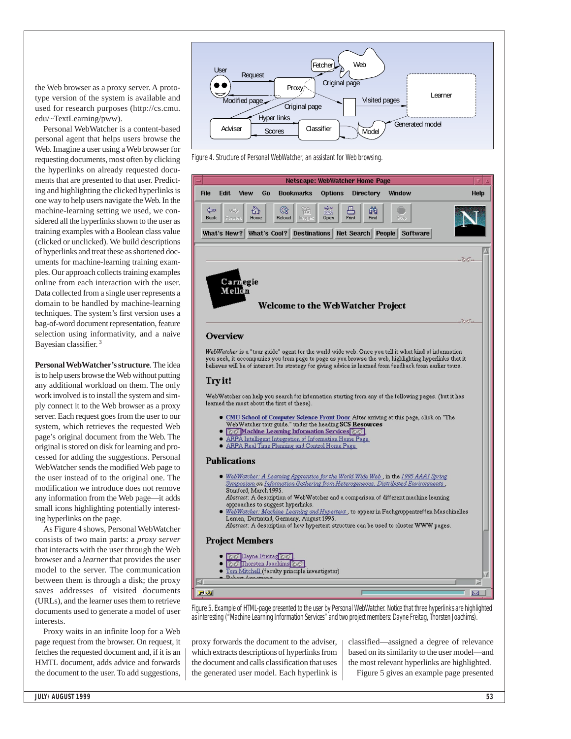the Web browser as a proxy server. A prototype version of the system is available and used for research purposes (http://cs.cmu. edu/~TextLearning/pww).

Personal WebWatcher is a content-based personal agent that helps users browse the Web. Imagine a user using a Web browser for requesting documents, most often by clicking the hyperlinks on already requested documents that are presented to that user. Predicting and highlighting the clicked hyperlinks is one way to help users navigate the Web. In the machine-learning setting we used, we considered all the hyperlinks shown to the user as training examples with a Boolean class value (clicked or unclicked). We build descriptions of hyperlinks and treat these as shortened documents for machine-learning training examples. Our approach collects training examples online from each interaction with the user. Data collected from a single user represents a domain to be handled by machine-learning techniques. The system's first version uses a bag-of-word document representation, feature selection using informativity, and a naive Bayesian classifier. <sup>3</sup>

**Personal WebWatcher's structure**. The idea is to help users browse the Web without putting any additional workload on them. The only work involved is to install the system and simply connect it to the Web browser as a proxy server. Each request goes from the user to our system, which retrieves the requested Web page's original document from the Web. The original is stored on disk for learning and processed for adding the suggestions. Personal WebWatcher sends the modified Web page to the user instead of to the original one. The modification we introduce does not remove any information from the Web page—it adds small icons highlighting potentially interesting hyperlinks on the page.

As Figure 4 shows, Personal WebWatcher consists of two main parts: a *proxy server* that interacts with the user through the Web browser and a *learner*that provides the user model to the server. The communication between them is through a disk; the proxy saves addresses of visited documents (URLs), and the learner uses them to retrieve documents used to generate a model of user interests.

Proxy waits in an infinite loop for a Web page request from the browser. On request, it fetches the requested document and, if it is an HMTL document, adds advice and forwards the document to the user. To add suggestions,



Figure 4. Structure of Personal WebWatcher, an assistant for Web browsing.



Figure 5. Example of HTML-page presented to the user by Personal WebWatcher. Notice that three hyperlinks are highlighted as interesting ("Machine Learning Information Services" and two project members: Dayne Freitag, Thorsten Joachims).

proxy forwards the document to the adviser, which extracts descriptions of hyperlinks from the document and calls classification that uses the generated user model. Each hyperlink is classified—assigned a degree of relevance based on its similarity to the user model—and the most relevant hyperlinks are highlighted.

Figure 5 gives an example page presented